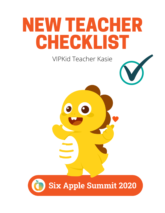# NEW TEACHER CHECKLIST

**VIPKid Teacher Kasie** 

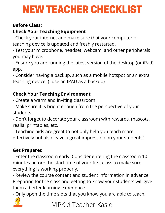## NEW TEACHER CHECKLIST

#### **Before Class:**

#### **Check Your Teaching Equipment**

- Check your internet and make sure that your computer or teaching device is updated and freshly restarted.

- Test your microphone, headset, webcam, and other peripherals you may have.

- Ensure you are running the latest version of the desktop (or iPad) app.

- Consider having a backup, such as a mobile hotspot or an extra teaching device. (I use an IPAD as a backup)

#### **Check Your Teaching Environment**

- Create a warm and inviting classroom.

- Make sure it is bright enough from the perspective of your students.

- Don't forget to decorate your classroom with rewards, mascots, realia, printables, etc.

- Teaching aids are great to not only help you teach more effectively but also leave a great impression on your students!

#### **Get Prepared**

- Enter the classroom early. Consider entering the classroom 10 minutes before the start time of your first class to make sure everything is working properly.

- Review the course content and student information in advance. Preparing for the class and getting to know your students will give them a better learning experience.

- Only open the time slots that you know you are able to teach.



VIPKid Teacher Kasie